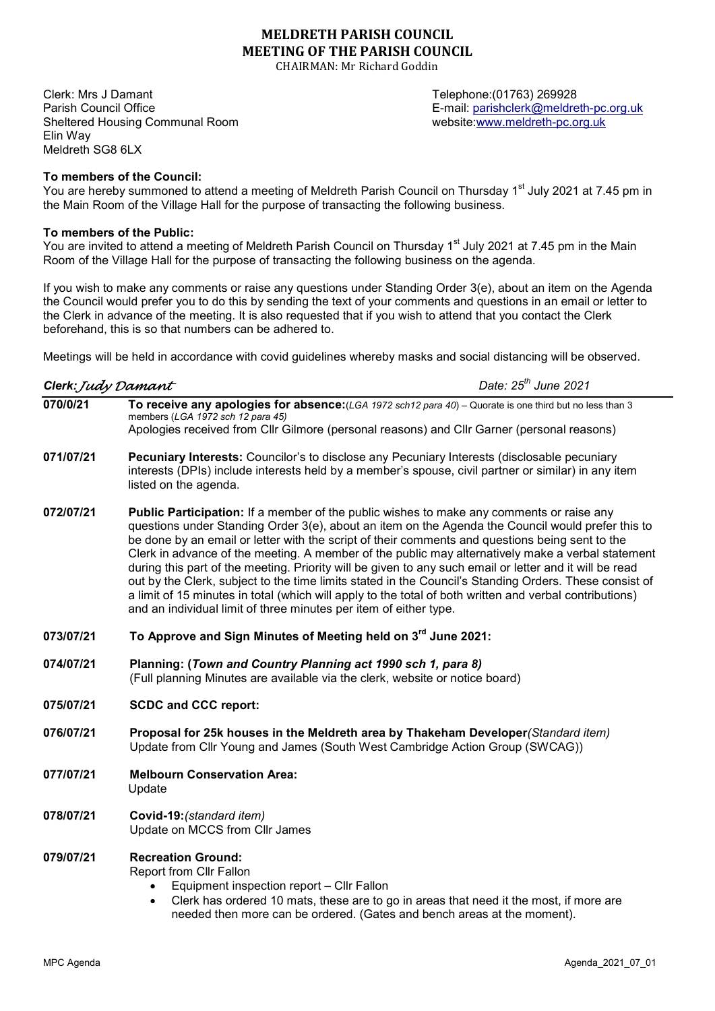# MELDRETH PARISH COUNCIL MEETING OF THE PARISH COUNCIL

CHAIRMAN: Mr Richard Goddin

Clerk: Mrs J Damant Telephone:(01763) 269928 Parish Council Office **E-mail: parishclerk@meldreth-pc.org.uk** E-mail: parishclerk@meldreth-pc.org.uk Sheltered Housing Communal Room website:www.meldreth-pc.org.uk Elin Way Meldreth SG8 6LX

To members of the Council:

You are hereby summoned to attend a meeting of Meldreth Parish Council on Thursday 1<sup>st</sup> July 2021 at 7.45 pm in the Main Room of the Village Hall for the purpose of transacting the following business.

## To members of the Public:

You are invited to attend a meeting of Meldreth Parish Council on Thursday 1<sup>st</sup> July 2021 at 7.45 pm in the Main Room of the Village Hall for the purpose of transacting the following business on the agenda.

If you wish to make any comments or raise any questions under Standing Order 3(e), about an item on the Agenda the Council would prefer you to do this by sending the text of your comments and questions in an email or letter to the Clerk in advance of the meeting. It is also requested that if you wish to attend that you contact the Clerk beforehand, this is so that numbers can be adhered to.

Meetings will be held in accordance with covid guidelines whereby masks and social distancing will be observed.

Date:  $25<sup>th</sup>$  June 2021

| 070/0/21 | To receive any apologies for absence: (LGA 1972 sch12 para 40) - Quorate is one third but no less than 3 |
|----------|----------------------------------------------------------------------------------------------------------|
|          | members (LGA 1972 sch 12 para 45)                                                                        |
|          | Apologies received from Cllr Gilmore (personal reasons) and Cllr Garner (personal reasons)               |

- 071/07/21 Pecuniary Interests: Councilor's to disclose any Pecuniary Interests (disclosable pecuniary interests (DPIs) include interests held by a member's spouse, civil partner or similar) in any item listed on the agenda.
- 072/07/21 Public Participation: If a member of the public wishes to make any comments or raise any questions under Standing Order 3(e), about an item on the Agenda the Council would prefer this to be done by an email or letter with the script of their comments and questions being sent to the Clerk in advance of the meeting. A member of the public may alternatively make a verbal statement during this part of the meeting. Priority will be given to any such email or letter and it will be read out by the Clerk, subject to the time limits stated in the Council's Standing Orders. These consist of a limit of 15 minutes in total (which will apply to the total of both written and verbal contributions) and an individual limit of three minutes per item of either type.
- 073/07/21 To Approve and Sign Minutes of Meeting held on 3<sup>rd</sup> June 2021:
- 074/07/21 Planning: (Town and Country Planning act 1990 sch 1, para 8) (Full planning Minutes are available via the clerk, website or notice board)

## 075/07/21 SCDC and CCC report:

- 076/07/21 Proposal for 25k houses in the Meldreth area by Thakeham Developer (Standard item) Update from Cllr Young and James (South West Cambridge Action Group (SWCAG))
- 077/07/21 Melbourn Conservation Area: Update
- 078/07/21 Covid-19:(standard item) Update on MCCS from Cllr James

#### 079/07/21 Recreation Ground:

Report from Cllr Fallon

- Equipment inspection report Cllr Fallon
- Clerk has ordered 10 mats, these are to go in areas that need it the most, if more are needed then more can be ordered. (Gates and bench areas at the moment).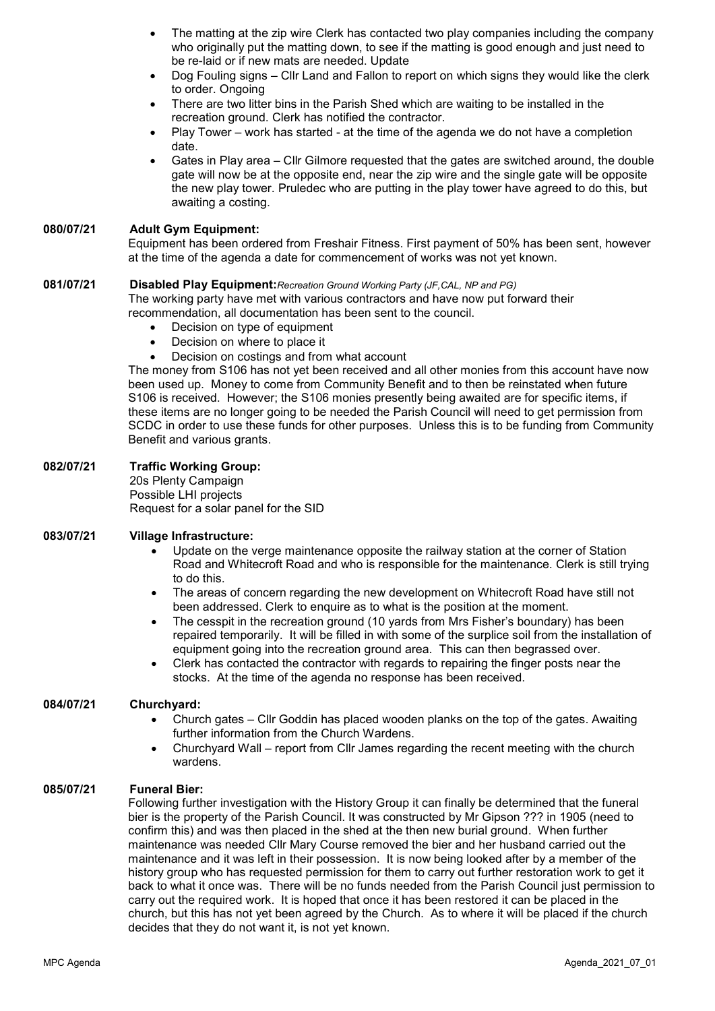- The matting at the zip wire Clerk has contacted two play companies including the company who originally put the matting down, to see if the matting is good enough and just need to be re-laid or if new mats are needed. Update
- Dog Fouling signs Cllr Land and Fallon to report on which signs they would like the clerk to order. Ongoing
- There are two litter bins in the Parish Shed which are waiting to be installed in the recreation ground. Clerk has notified the contractor.
- Play Tower work has started at the time of the agenda we do not have a completion date.
- Gates in Play area Cllr Gilmore requested that the gates are switched around, the double gate will now be at the opposite end, near the zip wire and the single gate will be opposite the new play tower. Pruledec who are putting in the play tower have agreed to do this, but awaiting a costing.

#### 080/07/21 Adult Gym Equipment:

Equipment has been ordered from Freshair Fitness. First payment of 50% has been sent, however at the time of the agenda a date for commencement of works was not yet known.

## 081/07/21 Disabled Play Equipment: Recreation Ground Working Party (JF, CAL, NP and PG)

The working party have met with various contractors and have now put forward their recommendation, all documentation has been sent to the council.

- Decision on type of equipment
- Decision on where to place it
- Decision on costings and from what account

The money from S106 has not yet been received and all other monies from this account have now been used up. Money to come from Community Benefit and to then be reinstated when future S106 is received. However; the S106 monies presently being awaited are for specific items, if these items are no longer going to be needed the Parish Council will need to get permission from SCDC in order to use these funds for other purposes. Unless this is to be funding from Community Benefit and various grants.

## 082/07/21 Traffic Working Group:

 20s Plenty Campaign Possible LHI projects Request for a solar panel for the SID

## 083/07/21 Village Infrastructure:

- Update on the verge maintenance opposite the railway station at the corner of Station Road and Whitecroft Road and who is responsible for the maintenance. Clerk is still trying to do this.
- The areas of concern regarding the new development on Whitecroft Road have still not been addressed. Clerk to enquire as to what is the position at the moment.
- The cesspit in the recreation ground (10 yards from Mrs Fisher's boundary) has been repaired temporarily. It will be filled in with some of the surplice soil from the installation of equipment going into the recreation ground area. This can then begrassed over.
- Clerk has contacted the contractor with regards to repairing the finger posts near the stocks. At the time of the agenda no response has been received.

## 084/07/21 Churchyard:

- Church gates Cllr Goddin has placed wooden planks on the top of the gates. Awaiting further information from the Church Wardens.
- Churchyard Wall report from Cllr James regarding the recent meeting with the church wardens.

#### 085/07/21 Funeral Bier:

Following further investigation with the History Group it can finally be determined that the funeral bier is the property of the Parish Council. It was constructed by Mr Gipson ??? in 1905 (need to confirm this) and was then placed in the shed at the then new burial ground. When further maintenance was needed Cllr Mary Course removed the bier and her husband carried out the maintenance and it was left in their possession. It is now being looked after by a member of the history group who has requested permission for them to carry out further restoration work to get it back to what it once was. There will be no funds needed from the Parish Council just permission to carry out the required work. It is hoped that once it has been restored it can be placed in the church, but this has not yet been agreed by the Church. As to where it will be placed if the church decides that they do not want it, is not yet known.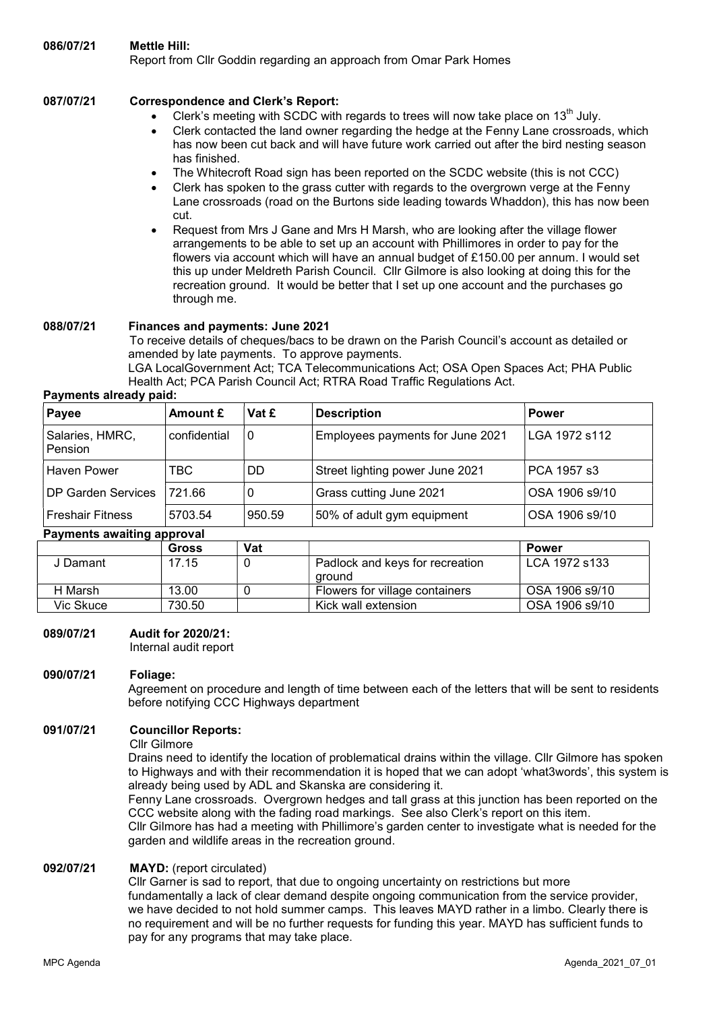## 087/07/21 Correspondence and Clerk's Report:

- Clerk's meeting with SCDC with regards to trees will now take place on  $13<sup>th</sup>$  July.
- Clerk contacted the land owner regarding the hedge at the Fenny Lane crossroads, which has now been cut back and will have future work carried out after the bird nesting season has finished.
- The Whitecroft Road sign has been reported on the SCDC website (this is not CCC)
- Clerk has spoken to the grass cutter with regards to the overgrown verge at the Fenny Lane crossroads (road on the Burtons side leading towards Whaddon), this has now been cut.
- Request from Mrs J Gane and Mrs H Marsh, who are looking after the village flower arrangements to be able to set up an account with Phillimores in order to pay for the flowers via account which will have an annual budget of £150.00 per annum. I would set this up under Meldreth Parish Council. Cllr Gilmore is also looking at doing this for the recreation ground. It would be better that I set up one account and the purchases go through me.

## 088/07/21 Finances and payments: June 2021

To receive details of cheques/bacs to be drawn on the Parish Council's account as detailed or amended by late payments. To approve payments.

LGA LocalGovernment Act; TCA Telecommunications Act; OSA Open Spaces Act; PHA Public Health Act; PCA Parish Council Act; RTRA Road Traffic Regulations Act.

## Payments already paid:

| Payee                      | Amount £     | Vat £    | <b>Description</b>               | <b>Power</b>   |
|----------------------------|--------------|----------|----------------------------------|----------------|
| Salaries, HMRC,<br>Pension | confidential | $\Omega$ | Employees payments for June 2021 | LGA 1972 s112  |
| Haven Power                | TBC          | DD       | Street lighting power June 2021  | PCA 1957 s3    |
| <b>DP Garden Services</b>  | 721.66       | 0        | Grass cutting June 2021          | OSA 1906 s9/10 |
| <b>Freshair Fitness</b>    | 5703.54      | 950.59   | 50% of adult gym equipment       | OSA 1906 s9/10 |

#### Payments awaiting approval

|           | Gross  | Vat |                                           | <b>Power</b>   |
|-----------|--------|-----|-------------------------------------------|----------------|
| J Damant  | 17.15  |     | Padlock and keys for recreation<br>around | LCA 1972 s133  |
| H Marsh   | 13.00  |     | Flowers for village containers            | OSA 1906 s9/10 |
| Vic Skuce | 730.50 |     | Kick wall extension                       | OSA 1906 s9/10 |

## 089/07/21 Audit for 2020/21:

Internal audit report

## 090/07/21 Foliage:

Agreement on procedure and length of time between each of the letters that will be sent to residents before notifying CCC Highways department

## 091/07/21 Councillor Reports:

#### Cllr Gilmore

Drains need to identify the location of problematical drains within the village. Cllr Gilmore has spoken to Highways and with their recommendation it is hoped that we can adopt 'what3words', this system is already being used by ADL and Skanska are considering it.

Fenny Lane crossroads. Overgrown hedges and tall grass at this junction has been reported on the CCC website along with the fading road markings. See also Clerk's report on this item.

Cllr Gilmore has had a meeting with Phillimore's garden center to investigate what is needed for the garden and wildlife areas in the recreation ground.

#### 092/07/21 MAYD: (report circulated)

Cllr Garner is sad to report, that due to ongoing uncertainty on restrictions but more fundamentally a lack of clear demand despite ongoing communication from the service provider, we have decided to not hold summer camps. This leaves MAYD rather in a limbo. Clearly there is no requirement and will be no further requests for funding this year. MAYD has sufficient funds to pay for any programs that may take place.